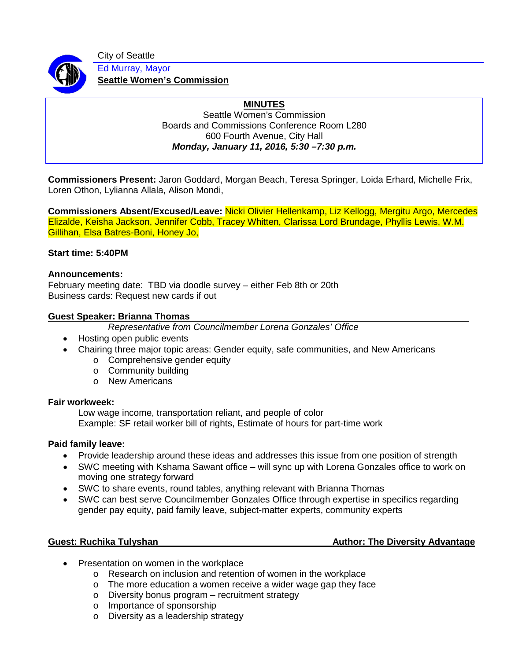

City of Seattle Ed Murray, Mayor

**Seattle Women's Commission**

# **MINUTES**

Seattle Women's Commission Boards and Commissions Conference Room L280 600 Fourth Avenue, City Hall *Monday, January 11, 2016, 5:30 –7:30 p.m.*

**Commissioners Present:** Jaron Goddard, Morgan Beach, Teresa Springer, Loida Erhard, Michelle Frix, Loren Othon, Lylianna Allala, Alison Mondi,

**Commissioners Absent/Excused/Leave:** Nicki Olivier Hellenkamp, Liz Kellogg, Mergitu Argo, Mercedes Elizalde, Keisha Jackson, Jennifer Cobb, Tracey Whitten, Clarissa Lord Brundage, Phyllis Lewis, W.M. Gillihan, Elsa Batres-Boni, Honey Jo,

### **Start time: 5:40PM**

#### **Announcements:**

February meeting date: TBD via doodle survey – either Feb 8th or 20th Business cards: Request new cards if out

### **Guest Speaker: Brianna Thomas**

*Representative from Councilmember Lorena Gonzales' Office*

- Hosting open public events
- Chairing three major topic areas: Gender equity, safe communities, and New Americans
	- o Comprehensive gender equity
	- o Community building
	- o New Americans

### **Fair workweek:**

Low wage income, transportation reliant, and people of color Example: SF retail worker bill of rights, Estimate of hours for part-time work

### **Paid family leave:**

- Provide leadership around these ideas and addresses this issue from one position of strength
- SWC meeting with Kshama Sawant office will sync up with Lorena Gonzales office to work on moving one strategy forward
- SWC to share events, round tables, anything relevant with Brianna Thomas
- SWC can best serve Councilmember Gonzales Office through expertise in specifics regarding gender pay equity, paid family leave, subject-matter experts, community experts

### **Guest:** Ruchika Tulyshan **Author: The Diversity Advantage** Author: The Diversity Advantage

- Presentation on women in the workplace
	- o Research on inclusion and retention of women in the workplace
	- o The more education a women receive a wider wage gap they face
	- o Diversity bonus program recruitment strategy
	- o Importance of sponsorship
	- o Diversity as a leadership strategy